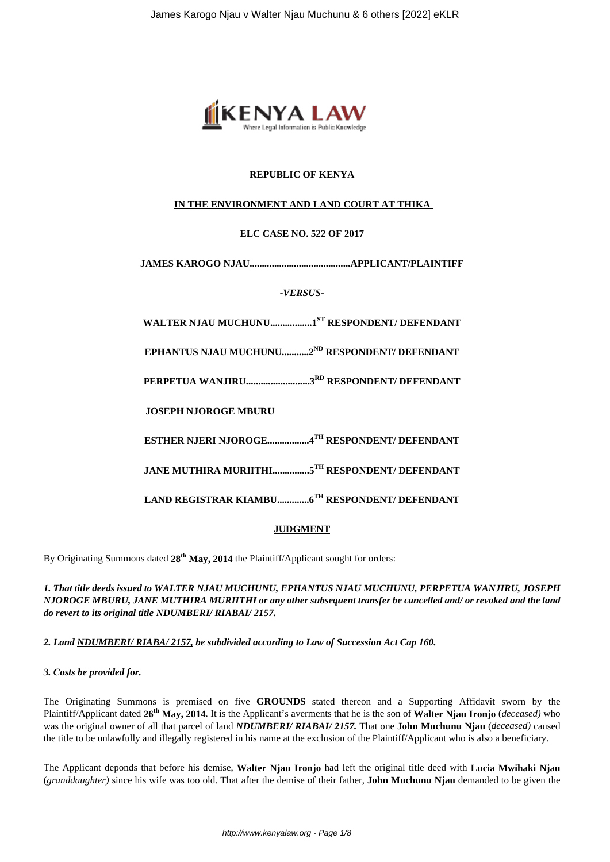

# **REPUBLIC OF KENYA**

# **IN THE ENVIRONMENT AND LAND COURT AT THIKA**

# **ELC CASE NO. 522 OF 2017**

**JAMES KAROGO NJAU.........................................APPLICANT/PLAINTIFF**

*-VERSUS-*

**WALTER NJAU MUCHUNU.................1ST RESPONDENT/ DEFENDANT**

**EPHANTUS NJAU MUCHUNU...........2ND RESPONDENT/ DEFENDANT**

**PERPETUA WANJIRU..........................3RD RESPONDENT/ DEFENDANT**

**JOSEPH NJOROGE MBURU**

**ESTHER NJERI NJOROGE.................4TH RESPONDENT/ DEFENDANT**

**JANE MUTHIRA MURIITHI...............5TH RESPONDENT/ DEFENDANT**

**LAND REGISTRAR KIAMBU.............6TH RESPONDENT/ DEFENDANT**

# **JUDGMENT**

By Originating Summons dated **28th May, 2014** the Plaintiff/Applicant sought for orders:

*1. That title deeds issued to WALTER NJAU MUCHUNU, EPHANTUS NJAU MUCHUNU, PERPETUA WANJIRU, JOSEPH NJOROGE MBURU, JANE MUTHIRA MURIITHI or any other subsequent transfer be cancelled and/ or revoked and the land do revert to its original title NDUMBERI/ RIABAI/ 2157.* 

*2. Land NDUMBERI/ RIABA/ 2157, be subdivided according to Law of Succession Act Cap 160.* 

# *3. Costs be provided for.*

The Originating Summons is premised on five **GROUNDS** stated thereon and a Supporting Affidavit sworn by the Plaintiff/Applicant dated **26th May, 2014**. It is the Applicant's averments that he is the son of **Walter Njau Ironjo** (*deceased)* who was the original owner of all that parcel of land *NDUMBERI/ RIABAI/ 2157.* That one **John Muchunu Njau** (*deceased)* caused the title to be unlawfully and illegally registered in his name at the exclusion of the Plaintiff/Applicant who is also a beneficiary.

The Applicant deponds that before his demise, **Walter Njau Ironjo** had left the original title deed with **Lucia Mwihaki Njau** (*granddaughter)* since his wife was too old. That after the demise of their father, **John Muchunu Njau** demanded to be given the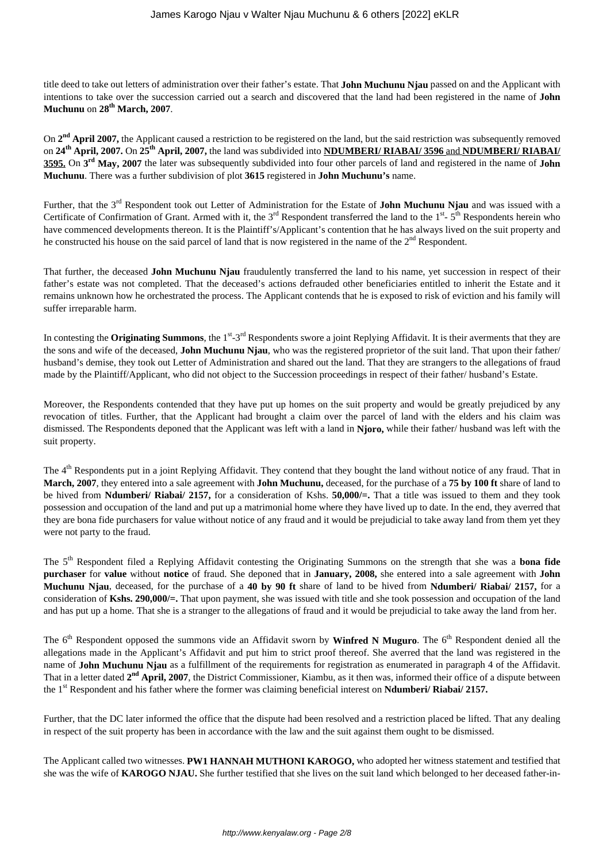title deed to take out letters of administration over their father's estate. That **John Muchunu Njau** passed on and the Applicant with intentions to take over the succession carried out a search and discovered that the land had been registered in the name of **John Muchunu** on **28th March, 2007**.

On 2<sup>nd</sup> April 2007, the Applicant caused a restriction to be registered on the land, but the said restriction was subsequently removed on **24th April, 2007.** On **25th April, 2007,** the land was subdivided into **NDUMBERI/ RIABAI/ 3596** and **NDUMBERI/ RIABAI/ 3595.** On **3 rd May, 2007** the later was subsequently subdivided into four other parcels of land and registered in the name of **John Muchunu**. There was a further subdivision of plot **3615** registered in **John Muchunu's** name.

Further, that the 3rd Respondent took out Letter of Administration for the Estate of **John Muchunu Njau** and was issued with a Certificate of Confirmation of Grant. Armed with it, the  $3<sup>rd</sup>$  Respondent transferred the land to the  $1<sup>st</sup>$ -  $5<sup>th</sup>$  Respondents herein who have commenced developments thereon. It is the Plaintiff's/Applicant's contention that he has always lived on the suit property and he constructed his house on the said parcel of land that is now registered in the name of the  $2^{nd}$  Respondent.

That further, the deceased **John Muchunu Njau** fraudulently transferred the land to his name, yet succession in respect of their father's estate was not completed. That the deceased's actions defrauded other beneficiaries entitled to inherit the Estate and it remains unknown how he orchestrated the process. The Applicant contends that he is exposed to risk of eviction and his family will suffer irreparable harm.

In contesting the **Originating Summons**, the 1<sup>st</sup>-3<sup>rd</sup> Respondents swore a joint Replying Affidavit. It is their averments that they are the sons and wife of the deceased, **John Muchunu Njau**, who was the registered proprietor of the suit land. That upon their father/ husband's demise, they took out Letter of Administration and shared out the land. That they are strangers to the allegations of fraud made by the Plaintiff/Applicant, who did not object to the Succession proceedings in respect of their father/ husband's Estate.

Moreover, the Respondents contended that they have put up homes on the suit property and would be greatly prejudiced by any revocation of titles. Further, that the Applicant had brought a claim over the parcel of land with the elders and his claim was dismissed. The Respondents deponed that the Applicant was left with a land in **Njoro,** while their father/ husband was left with the suit property.

The 4<sup>th</sup> Respondents put in a joint Replying Affidavit. They contend that they bought the land without notice of any fraud. That in **March, 2007**, they entered into a sale agreement with **John Muchunu,** deceased, for the purchase of a **75 by 100 ft** share of land to be hived from **Ndumberi/ Riabai/ 2157,** for a consideration of Kshs. **50,000/=.** That a title was issued to them and they took possession and occupation of the land and put up a matrimonial home where they have lived up to date. In the end, they averred that they are bona fide purchasers for value without notice of any fraud and it would be prejudicial to take away land from them yet they were not party to the fraud.

The 5th Respondent filed a Replying Affidavit contesting the Originating Summons on the strength that she was a **bona fide purchaser** for **value** without **notice** of fraud. She deponed that in **January, 2008,** she entered into a sale agreement with **John Muchunu Njau**, deceased, for the purchase of a **40 by 90 ft** share of land to be hived from **Ndumberi/ Riabai/ 2157,** for a consideration of **Kshs. 290,000/=.** That upon payment, she was issued with title and she took possession and occupation of the land and has put up a home. That she is a stranger to the allegations of fraud and it would be prejudicial to take away the land from her.

The 6<sup>th</sup> Respondent opposed the summons vide an Affidavit sworn by **Winfred N Muguro**. The 6<sup>th</sup> Respondent denied all the allegations made in the Applicant's Affidavit and put him to strict proof thereof. She averred that the land was registered in the name of **John Muchunu Njau** as a fulfillment of the requirements for registration as enumerated in paragraph 4 of the Affidavit. That in a letter dated 2<sup>nd</sup> April, 2007, the District Commissioner, Kiambu, as it then was, informed their office of a dispute between the 1<sup>st</sup> Respondent and his father where the former was claiming beneficial interest on **Ndumberi/ Riabai/ 2157.** 

Further, that the DC later informed the office that the dispute had been resolved and a restriction placed be lifted. That any dealing in respect of the suit property has been in accordance with the law and the suit against them ought to be dismissed.

The Applicant called two witnesses. **PW1 HANNAH MUTHONI KAROGO,** who adopted her witness statement and testified that she was the wife of **KAROGO NJAU.** She further testified that she lives on the suit land which belonged to her deceased father-in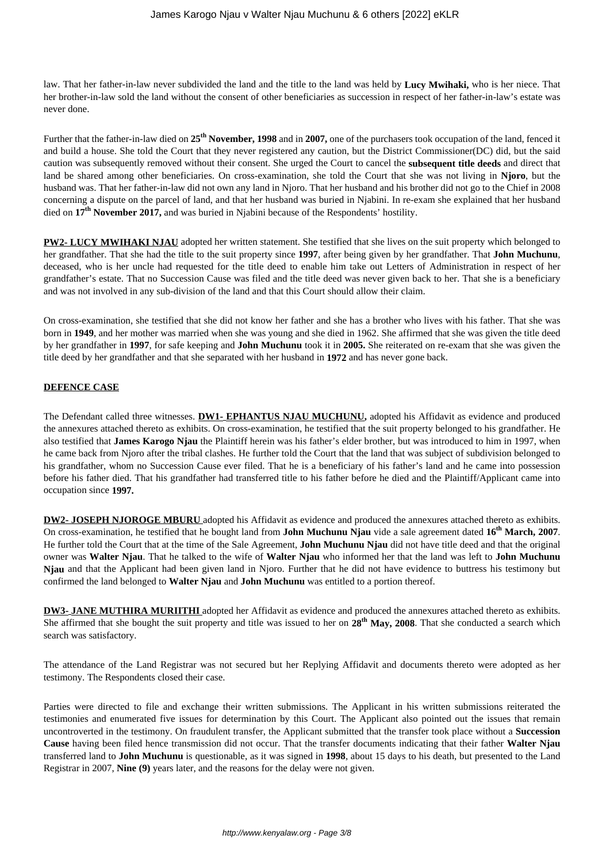law. That her father-in-law never subdivided the land and the title to the land was held by **Lucy Mwihaki,** who is her niece. That her brother-in-law sold the land without the consent of other beneficiaries as succession in respect of her father-in-law's estate was never done.

Further that the father-in-law died on **25th November, 1998** and in **2007,** one of the purchasers took occupation of the land, fenced it and build a house. She told the Court that they never registered any caution, but the District Commissioner(DC) did, but the said caution was subsequently removed without their consent. She urged the Court to cancel the **subsequent title deeds** and direct that land be shared among other beneficiaries. On cross-examination, she told the Court that she was not living in **Njoro**, but the husband was. That her father-in-law did not own any land in Njoro. That her husband and his brother did not go to the Chief in 2008 concerning a dispute on the parcel of land, and that her husband was buried in Njabini. In re-exam she explained that her husband died on **17th November 2017,** and was buried in Njabini because of the Respondents' hostility.

**PW2- LUCY MWIHAKI NJAU** adopted her written statement. She testified that she lives on the suit property which belonged to her grandfather. That she had the title to the suit property since **1997**, after being given by her grandfather. That **John Muchunu**, deceased, who is her uncle had requested for the title deed to enable him take out Letters of Administration in respect of her grandfather's estate. That no Succession Cause was filed and the title deed was never given back to her. That she is a beneficiary and was not involved in any sub-division of the land and that this Court should allow their claim.

On cross-examination, she testified that she did not know her father and she has a brother who lives with his father. That she was born in **1949**, and her mother was married when she was young and she died in 1962. She affirmed that she was given the title deed by her grandfather in **1997**, for safe keeping and **John Muchunu** took it in **2005.** She reiterated on re-exam that she was given the title deed by her grandfather and that she separated with her husband in **1972** and has never gone back.

## **DEFENCE CASE**

The Defendant called three witnesses. **DW1- EPHANTUS NJAU MUCHUNU,** adopted his Affidavit as evidence and produced the annexures attached thereto as exhibits. On cross-examination, he testified that the suit property belonged to his grandfather. He also testified that **James Karogo Njau** the Plaintiff herein was his father's elder brother, but was introduced to him in 1997, when he came back from Njoro after the tribal clashes. He further told the Court that the land that was subject of subdivision belonged to his grandfather, whom no Succession Cause ever filed. That he is a beneficiary of his father's land and he came into possession before his father died. That his grandfather had transferred title to his father before he died and the Plaintiff/Applicant came into occupation since **1997.**

**DW2- JOSEPH NJOROGE MBURU** adopted his Affidavit as evidence and produced the annexures attached thereto as exhibits. On cross-examination, he testified that he bought land from **John Muchunu Njau** vide a sale agreement dated **16th March, 2007**. He further told the Court that at the time of the Sale Agreement, **John Muchunu Njau** did not have title deed and that the original owner was **Walter Njau**. That he talked to the wife of **Walter Njau** who informed her that the land was left to **John Muchunu Njau** and that the Applicant had been given land in Njoro. Further that he did not have evidence to buttress his testimony but confirmed the land belonged to **Walter Njau** and **John Muchunu** was entitled to a portion thereof.

**DW3- JANE MUTHIRA MURIITHI** adopted her Affidavit as evidence and produced the annexures attached thereto as exhibits. She affirmed that she bought the suit property and title was issued to her on **28th May, 2008**. That she conducted a search which search was satisfactory.

The attendance of the Land Registrar was not secured but her Replying Affidavit and documents thereto were adopted as her testimony. The Respondents closed their case.

Parties were directed to file and exchange their written submissions. The Applicant in his written submissions reiterated the testimonies and enumerated five issues for determination by this Court. The Applicant also pointed out the issues that remain uncontroverted in the testimony. On fraudulent transfer, the Applicant submitted that the transfer took place without a **Succession Cause** having been filed hence transmission did not occur. That the transfer documents indicating that their father **Walter Njau** transferred land to **John Muchunu** is questionable, as it was signed in **1998**, about 15 days to his death, but presented to the Land Registrar in 2007, **Nine (9)** years later, and the reasons for the delay were not given.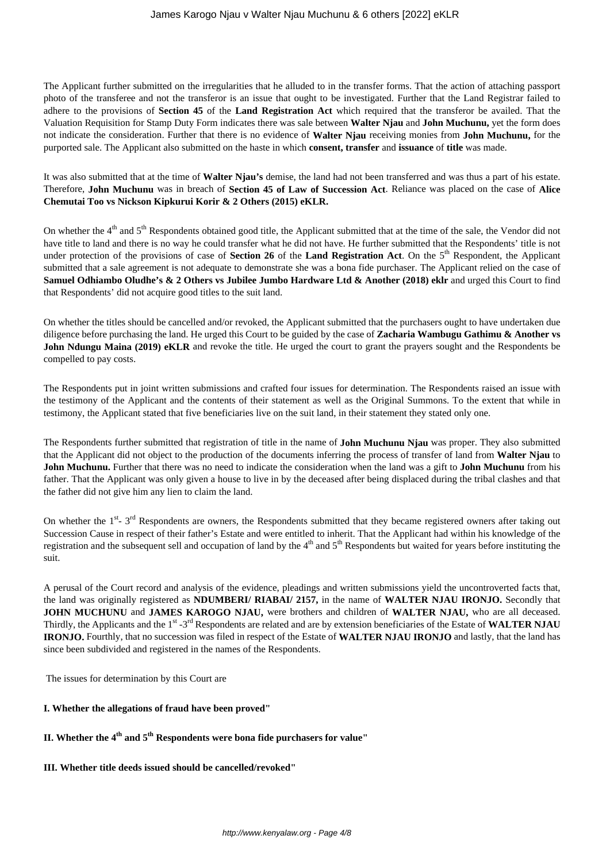The Applicant further submitted on the irregularities that he alluded to in the transfer forms. That the action of attaching passport photo of the transferee and not the transferor is an issue that ought to be investigated. Further that the Land Registrar failed to adhere to the provisions of **Section 45** of the **Land Registration Act** which required that the transferor be availed. That the Valuation Requisition for Stamp Duty Form indicates there was sale between **Walter Njau** and **John Muchunu,** yet the form does not indicate the consideration. Further that there is no evidence of **Walter Njau** receiving monies from **John Muchunu,** for the purported sale. The Applicant also submitted on the haste in which **consent, transfer** and **issuance** of **title** was made.

It was also submitted that at the time of **Walter Njau's** demise, the land had not been transferred and was thus a part of his estate. Therefore, **John Muchunu** was in breach of **Section 45 of Law of Succession Act**. Reliance was placed on the case of **Alice Chemutai Too vs Nickson Kipkurui Korir & 2 Others (2015) eKLR.** 

On whether the 4<sup>th</sup> and 5<sup>th</sup> Respondents obtained good title, the Applicant submitted that at the time of the sale, the Vendor did not have title to land and there is no way he could transfer what he did not have. He further submitted that the Respondents' title is not under protection of the provisions of case of **Section 26** of the **Land Registration Act**. On the 5th Respondent, the Applicant submitted that a sale agreement is not adequate to demonstrate she was a bona fide purchaser. The Applicant relied on the case of **Samuel Odhiambo Oludhe's & 2 Others vs Jubilee Jumbo Hardware Ltd & Another (2018) eklr** and urged this Court to find that Respondents' did not acquire good titles to the suit land.

On whether the titles should be cancelled and/or revoked, the Applicant submitted that the purchasers ought to have undertaken due diligence before purchasing the land. He urged this Court to be guided by the case of **Zacharia Wambugu Gathimu & Another vs John Ndungu Maina (2019) eKLR** and revoke the title. He urged the court to grant the prayers sought and the Respondents be compelled to pay costs.

The Respondents put in joint written submissions and crafted four issues for determination. The Respondents raised an issue with the testimony of the Applicant and the contents of their statement as well as the Original Summons. To the extent that while in testimony, the Applicant stated that five beneficiaries live on the suit land, in their statement they stated only one.

The Respondents further submitted that registration of title in the name of **John Muchunu Njau** was proper. They also submitted that the Applicant did not object to the production of the documents inferring the process of transfer of land from **Walter Njau** to **John Muchunu.** Further that there was no need to indicate the consideration when the land was a gift to **John Muchunu** from his father. That the Applicant was only given a house to live in by the deceased after being displaced during the tribal clashes and that the father did not give him any lien to claim the land.

On whether the  $1^{st}$ -  $3^{rd}$  Respondents are owners, the Respondents submitted that they became registered owners after taking out Succession Cause in respect of their father's Estate and were entitled to inherit. That the Applicant had within his knowledge of the registration and the subsequent sell and occupation of land by the  $4<sup>th</sup>$  and  $5<sup>th</sup>$  Respondents but waited for years before instituting the suit.

A perusal of the Court record and analysis of the evidence, pleadings and written submissions yield the uncontroverted facts that, the land was originally registered as **NDUMBERI/ RIABAI/ 2157,** in the name of **WALTER NJAU IRONJO.** Secondly that **JOHN MUCHUNU** and **JAMES KAROGO NJAU,** were brothers and children of **WALTER NJAU,** who are all deceased. Thirdly, the Applicants and the 1<sup>st</sup> -3<sup>rd</sup> Respondents are related and are by extension beneficiaries of the Estate of WALTER NJAU **IRONJO.** Fourthly, that no succession was filed in respect of the Estate of **WALTER NJAU IRONJO** and lastly, that the land has since been subdivided and registered in the names of the Respondents.

The issues for determination by this Court are

### **I. Whether the allegations of fraud have been proved"**

- **II. Whether the 4th and 5th Respondents were bona fide purchasers for value"**
- **III. Whether title deeds issued should be cancelled/revoked"**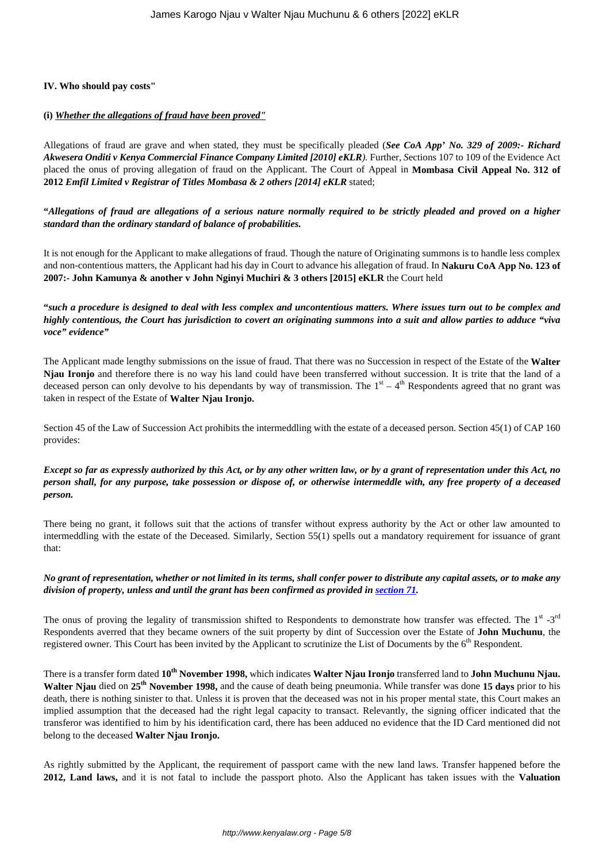### **IV. Who should pay costs"**

### **(i)** *Whether the allegations of fraud have been proved"*

Allegations of fraud are grave and when stated, they must be specifically pleaded (*See CoA App' No. 329 of 2009:- Richard Akwesera Onditi v Kenya Commercial Finance Company Limited [2010] eKLR).* Further, *S*ections 107 to 109 of the Evidence Act placed the onus of proving allegation of fraud on the Applicant. The Court of Appeal in **Mombasa Civil Appeal No. 312 of 2012** *Emfil Limited v Registrar of Titles Mombasa & 2 others [2014] eKLR* stated;

**"***Allegations of fraud are allegations of a serious nature normally required to be strictly pleaded and proved on a higher standard than the ordinary standard of balance of probabilities.* 

It is not enough for the Applicant to make allegations of fraud. Though the nature of Originating summons is to handle less complex and non-contentious matters, the Applicant had his day in Court to advance his allegation of fraud. In **Nakuru CoA App No. 123 of 2007:- John Kamunya & another v John Nginyi Muchiri & 3 others [2015] eKLR** the Court held

**"***such a procedure is designed to deal with less complex and uncontentious matters. Where issues turn out to be complex and highly contentious, the Court has jurisdiction to covert an originating summons into a suit and allow parties to adduce "viva voce" evidence"*

The Applicant made lengthy submissions on the issue of fraud. That there was no Succession in respect of the Estate of the **Walter Njau Ironjo** and therefore there is no way his land could have been transferred without succession. It is trite that the land of a deceased person can only devolve to his dependants by way of transmission. The  $1<sup>st</sup> - 4<sup>th</sup>$  Respondents agreed that no grant was taken in respect of the Estate of **Walter Njau Ironjo.**

Section 45 of the Law of Succession Act prohibits the intermeddling with the estate of a deceased person. Section 45(1) of CAP 160 provides:

*Except so far as expressly authorized by this Act, or by any other written law, or by a grant of representation under this Act, no person shall, for any purpose, take possession or dispose of, or otherwise intermeddle with, any free property of a deceased person.*

There being no grant, it follows suit that the actions of transfer without express authority by the Act or other law amounted to intermeddling with the estate of the Deceased. Similarly, Section 55(1) spells out a mandatory requirement for issuance of grant that:

*No grant of representation, whether or not limited in its terms, shall confer power to distribute any capital assets, or to make any division of property, unless and until the grant has been confirmed as provided in [section 71](http://www.kenyalaw.org/lex/actview.xql"actid=CAP.%20160#KE/LEG/EN/AR/L/CHAPTER%20160/sec_71).*

The onus of proving the legality of transmission shifted to Respondents to demonstrate how transfer was effected. The 1<sup>st</sup> -3<sup>rd</sup> Respondents averred that they became owners of the suit property by dint of Succession over the Estate of **John Muchunu**, the registered owner. This Court has been invited by the Applicant to scrutinize the List of Documents by the 6<sup>th</sup> Respondent.

There is a transfer form dated **10th November 1998,** which indicates **Walter Njau Ironjo** transferred land to **John Muchunu Njau. Walter Njau** died on **25th November 1998,** and the cause of death being pneumonia. While transfer was done **15 days** prior to his death, there is nothing sinister to that. Unless it is proven that the deceased was not in his proper mental state, this Court makes an implied assumption that the deceased had the right legal capacity to transact. Relevantly, the signing officer indicated that the transferor was identified to him by his identification card, there has been adduced no evidence that the ID Card mentioned did not belong to the deceased **Walter Njau Ironjo.**

As rightly submitted by the Applicant, the requirement of passport came with the new land laws. Transfer happened before the **2012, Land laws,** and it is not fatal to include the passport photo. Also the Applicant has taken issues with the **Valuation**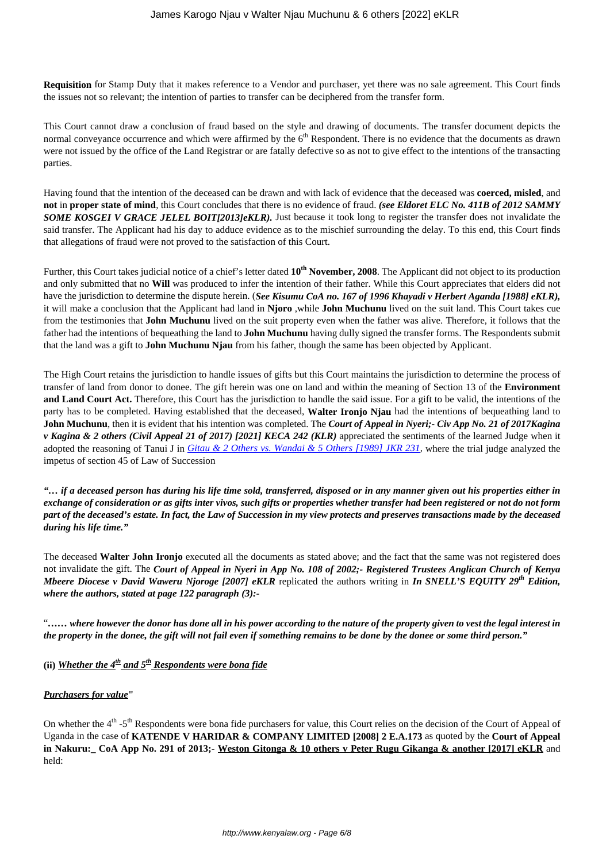**Requisition** for Stamp Duty that it makes reference to a Vendor and purchaser, yet there was no sale agreement. This Court finds the issues not so relevant; the intention of parties to transfer can be deciphered from the transfer form.

This Court cannot draw a conclusion of fraud based on the style and drawing of documents. The transfer document depicts the normal conveyance occurrence and which were affirmed by the  $6<sup>th</sup>$  Respondent. There is no evidence that the documents as drawn were not issued by the office of the Land Registrar or are fatally defective so as not to give effect to the intentions of the transacting parties.

Having found that the intention of the deceased can be drawn and with lack of evidence that the deceased was **coerced, misled**, and **not** in **proper state of mind**, this Court concludes that there is no evidence of fraud. *(see Eldoret ELC No. 411B of 2012 SAMMY SOME KOSGEI V GRACE JELEL BOIT[2013]eKLR).* Just because it took long to register the transfer does not invalidate the said transfer. The Applicant had his day to adduce evidence as to the mischief surrounding the delay. To this end, this Court finds that allegations of fraud were not proved to the satisfaction of this Court.

Further, this Court takes judicial notice of a chief's letter dated **10th November, 2008**. The Applicant did not object to its production and only submitted that no **Will** was produced to infer the intention of their father. While this Court appreciates that elders did not have the jurisdiction to determine the dispute herein. (*See Kisumu CoA no. 167 of 1996 Khayadi v Herbert Aganda [1988] eKLR),* it will make a conclusion that the Applicant had land in **Njoro** ,while **John Muchunu** lived on the suit land. This Court takes cue from the testimonies that **John Muchunu** lived on the suit property even when the father was alive. Therefore, it follows that the father had the intentions of bequeathing the land to **John Muchunu** having dully signed the transfer forms. The Respondents submit that the land was a gift to **John Muchunu Njau** from his father, though the same has been objected by Applicant.

The High Court retains the jurisdiction to handle issues of gifts but this Court maintains the jurisdiction to determine the process of transfer of land from donor to donee. The gift herein was one on land and within the meaning of Section 13 of the **Environment and Land Court Act.** Therefore, this Court has the jurisdiction to handle the said issue. For a gift to be valid, the intentions of the party has to be completed. Having established that the deceased, **Walter Ironjo Njau** had the intentions of bequeathing land to **John Muchunu**, then it is evident that his intention was completed. The *Court of Appeal in Nyeri;- Civ App No. 21 of 2017Kagina v Kagina & 2 others (Civil Appeal 21 of 2017) [2021] KECA 242 (KLR)* appreciated the sentiments of the learned Judge when it adopted the reasoning of Tanui J in *[Gitau & 2 Others vs. Wandai & 5 Others \[1989\] JKR 231](http://kenyalaw.org/caselaw/cases/view/224218/),* where the trial judge analyzed the impetus of section 45 of Law of Succession

*"… if a deceased person has during his life time sold, transferred, disposed or in any manner given out his properties either in exchange of consideration or as gifts inter vivos, such gifts or properties whether transfer had been registered or not do not form part of the deceased's estate. In fact, the Law of Succession in my view protects and preserves transactions made by the deceased during his life time."*

The deceased **Walter John Ironjo** executed all the documents as stated above; and the fact that the same was not registered does not invalidate the gift. The *Court of Appeal in Nyeri in App No. 108 of 2002;- Registered Trustees Anglican Church of Kenya Mbeere Diocese v David Waweru Njoroge [2007] eKLR* replicated the authors writing in *In SNELL'S EQUITY 29th Edition, where the authors, stated at page 122 paragraph (3):-* 

"*…… where however the donor has done all in his power according to the nature of the property given to vest the legal interest in the property in the donee, the gift will not fail even if something remains to be done by the donee or some third person."*

**(ii)** *Whether the 4th and 5th Respondents were bona fide*

### *Purchasers for value***"**

On whether the  $4<sup>th</sup> -5<sup>th</sup>$  Respondents were bona fide purchasers for value, this Court relies on the decision of the Court of Appeal of Uganda in the case of **KATENDE V HARIDAR & COMPANY LIMITED [2008] 2 E.A.173** as quoted by the **Court of Appeal in Nakuru:\_ CoA App No. 291 of 2013;- Weston Gitonga & 10 others v Peter Rugu Gikanga & another [2017] eKLR** and held: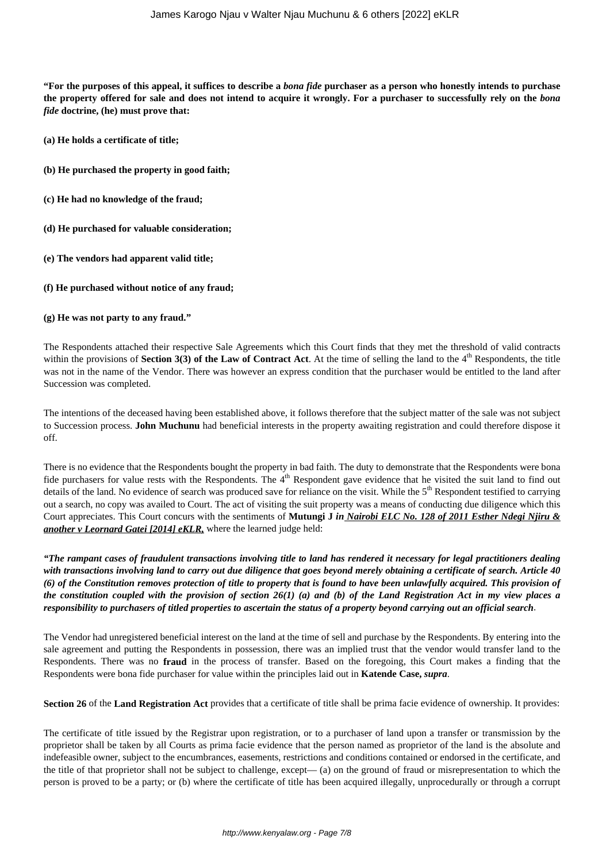**"For the purposes of this appeal, it suffices to describe a** *bona fide* **purchaser as a person who honestly intends to purchase the property offered for sale and does not intend to acquire it wrongly. For a purchaser to successfully rely on the** *bona fide* **doctrine, (he) must prove that:**

- **(a) He holds a certificate of title;**
- **(b) He purchased the property in good faith;**
- **(c) He had no knowledge of the fraud;**
- **(d) He purchased for valuable consideration;**
- **(e) The vendors had apparent valid title;**
- **(f) He purchased without notice of any fraud;**
- **(g) He was not party to any fraud."**

The Respondents attached their respective Sale Agreements which this Court finds that they met the threshold of valid contracts within the provisions of **Section 3(3) of the Law of Contract Act**. At the time of selling the land to the  $4<sup>th</sup>$  Respondents, the title was not in the name of the Vendor. There was however an express condition that the purchaser would be entitled to the land after Succession was completed.

The intentions of the deceased having been established above, it follows therefore that the subject matter of the sale was not subject to Succession process. **John Muchunu** had beneficial interests in the property awaiting registration and could therefore dispose it off.

There is no evidence that the Respondents bought the property in bad faith. The duty to demonstrate that the Respondents were bona fide purchasers for value rests with the Respondents. The  $4<sup>th</sup>$  Respondent gave evidence that he visited the suit land to find out details of the land. No evidence of search was produced save for reliance on the visit. While the 5<sup>th</sup> Respondent testified to carrying out a search, no copy was availed to Court. The act of visiting the suit property was a means of conducting due diligence which this Court appreciates. This Court concurs with the sentiments of **Mutungi J** *in Nairobi ELC No. 128 of 2011 Esther Ndegi Njiru & another v Leornard Gatei [2014] eKLR,* where the learned judge held:

*"The rampant cases of fraudulent transactions involving title to land has rendered it necessary for legal practitioners dealing with transactions involving land to carry out due diligence that goes beyond merely obtaining a certificate of search. Article 40 (6) of the Constitution removes protection of title to property that is found to have been unlawfully acquired. This provision of the constitution coupled with the provision of section 26(1) (a) and (b) of the Land Registration Act in my view places a responsibility to purchasers of titled properties to ascertain the status of a property beyond carrying out an official search*.

The Vendor had unregistered beneficial interest on the land at the time of sell and purchase by the Respondents. By entering into the sale agreement and putting the Respondents in possession, there was an implied trust that the vendor would transfer land to the Respondents. There was no **fraud** in the process of transfer. Based on the foregoing, this Court makes a finding that the Respondents were bona fide purchaser for value within the principles laid out in **Katende Case,** *supra*.

**Section 26** of the **Land Registration Act** provides that a certificate of title shall be prima facie evidence of ownership. It provides:

The certificate of title issued by the Registrar upon registration, or to a purchaser of land upon a transfer or transmission by the proprietor shall be taken by all Courts as prima facie evidence that the person named as proprietor of the land is the absolute and indefeasible owner, subject to the encumbrances, easements, restrictions and conditions contained or endorsed in the certificate, and the title of that proprietor shall not be subject to challenge, except— (a) on the ground of fraud or misrepresentation to which the person is proved to be a party; or (b) where the certificate of title has been acquired illegally, unprocedurally or through a corrupt